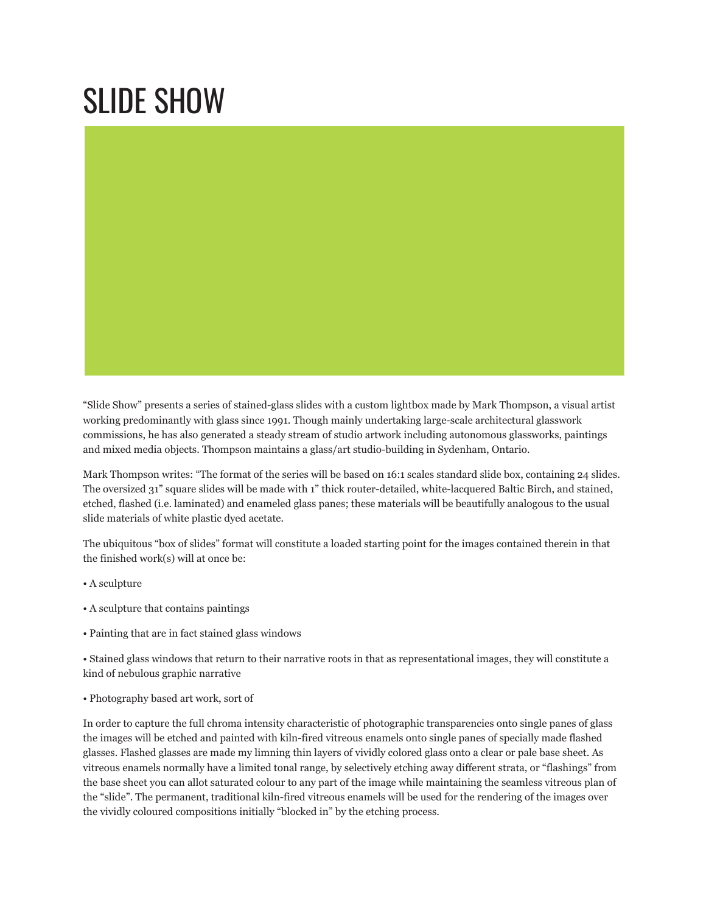## SLIDE SHOW

"Slide Show" presents a series of stained-glass slides with a custom lightbox made by Mark Thompson, a visual artist working predominantly with glass since 1991. Though mainly undertaking large-scale architectural glasswork commissions, he has also generated a steady stream of studio artwork including autonomous glassworks, paintings and mixed media objects. Thompson maintains a glass/art studio-building in Sydenham, Ontario.

Mark Thompson writes: "The format of the series will be based on 16:1 scales standard slide box, containing 24 slides. The oversized 31" square slides will be made with 1" thick router-detailed, white-lacquered Baltic Birch, and stained, etched, flashed (i.e. laminated) and enameled glass panes; these materials will be beautifully analogous to the usual slide materials of white plastic dyed acetate.

The ubiquitous "box of slides" format will constitute a loaded starting point for the images contained therein in that the finished work(s) will at once be:

- A sculpture
- A sculpture that contains paintings
- Painting that are in fact stained glass windows

• Stained glass windows that return to their narrative roots in that as representational images, they will constitute a kind of nebulous graphic narrative

• Photography based art work, sort of

In order to capture the full chroma intensity characteristic of photographic transparencies onto single panes of glass the images will be etched and painted with kiln-fired vitreous enamels onto single panes of specially made flashed glasses. Flashed glasses are made my limning thin layers of vividly colored glass onto a clear or pale base sheet. As vitreous enamels normally have a limited tonal range, by selectively etching away different strata, or "flashings" from the base sheet you can allot saturated colour to any part of the image while maintaining the seamless vitreous plan of the "slide". The permanent, traditional kiln-fired vitreous enamels will be used for the rendering of the images over the vividly coloured compositions initially "blocked in" by the etching process.